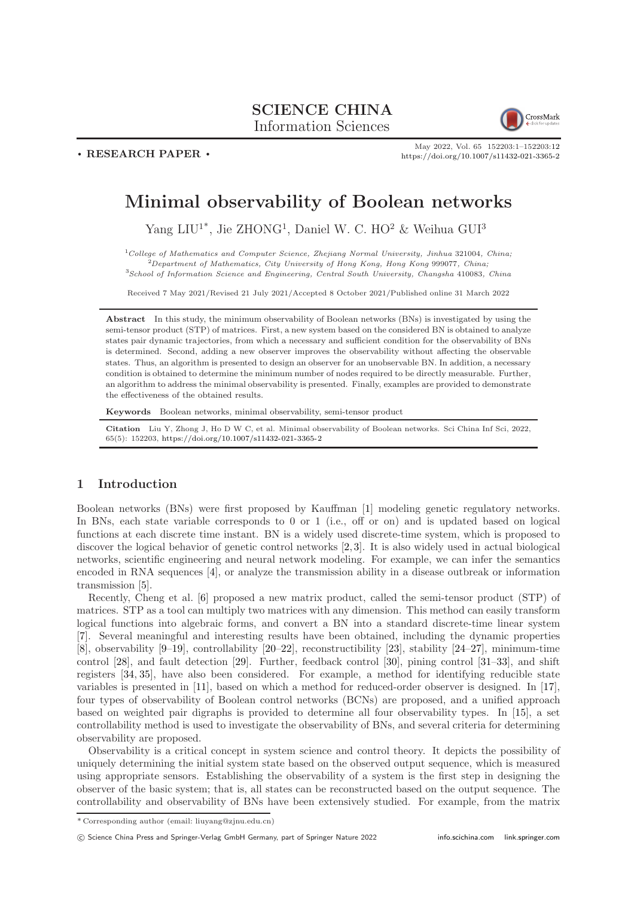## SCIENCE CHINA Information Sciences



. RESEARCH PAPER .

May 2022, Vol. 65 152203:1–152203[:12](#page-11-0) <https://doi.org/10.1007/s11432-021-3365-2>

# Minimal observability of Boolean networks

Yang LIU<sup>1\*</sup>, Jie ZHONG<sup>1</sup>, Daniel W. C. HO<sup>2</sup> & Weihua GUI<sup>3</sup>

 $1$ College of Mathematics and Computer Science, Zhejiang Normal University, Jinhua 321004, China; <sup>2</sup>Department of Mathematics, City University of Hong Kong, Hong Kong 999077, China;

<sup>3</sup>School of Information Science and Engineering, Central South University, Changsha 410083, China

Received 7 May 2021/Revised 21 July 2021/Accepted 8 October 2021/Published online 31 March 2022

Abstract In this study, the minimum observability of Boolean networks (BNs) is investigated by using the semi-tensor product (STP) of matrices. First, a new system based on the considered BN is obtained to analyze states pair dynamic trajectories, from which a necessary and sufficient condition for the observability of BNs is determined. Second, adding a new observer improves the observability without affecting the observable states. Thus, an algorithm is presented to design an observer for an unobservable BN. In addition, a necessary condition is obtained to determine the minimum number of nodes required to be directly measurable. Further, an algorithm to address the minimal observability is presented. Finally, examples are provided to demonstrate the effectiveness of the obtained results.

Keywords Boolean networks, minimal observability, semi-tensor product

Citation Liu Y, Zhong J, Ho D W C, et al. Minimal observability of Boolean networks. Sci China Inf Sci, 2022, 65(5): 152203, <https://doi.org/10.1007/s11432-021-3365-2>

## 1 Introduction

Boolean networks (BNs) were first proposed by Kauffman [\[1\]](#page-10-0) modeling genetic regulatory networks. In BNs, each state variable corresponds to 0 or 1 (i.e., off or on) and is updated based on logical functions at each discrete time instant. BN is a widely used discrete-time system, which is proposed to discover the logical behavior of genetic control networks [\[2,](#page-10-1) [3\]](#page-10-2). It is also widely used in actual biological networks, scientific engineering and neural network modeling. For example, we can infer the semantics encoded in RNA sequences [\[4\]](#page-10-3), or analyze the transmission ability in a disease outbreak or information transmission [\[5\]](#page-10-4).

Recently, Cheng et al. [\[6\]](#page-10-5) proposed a new matrix product, called the semi-tensor product (STP) of matrices. STP as a tool can multiply two matrices with any dimension. This method can easily transform logical functions into algebraic forms, and convert a BN into a standard discrete-time linear system [\[7\]](#page-10-6). Several meaningful and interesting results have been obtained, including the dynamic properties [\[8\]](#page-10-7), observability [\[9–](#page-10-8)[19\]](#page-11-1), controllability [\[20–](#page-11-2)[22\]](#page-11-3), reconstructibility [\[23\]](#page-11-4), stability [\[24–](#page-11-5)[27\]](#page-11-6), minimum-time control [\[28\]](#page-11-7), and fault detection [\[29\]](#page-11-8). Further, feedback control [\[30\]](#page-11-9), pining control [\[31](#page-11-10)[–33\]](#page-11-11), and shift registers [\[34,](#page-11-12) [35\]](#page-11-13), have also been considered. For example, a method for identifying reducible state variables is presented in [\[11\]](#page-11-14), based on which a method for reduced-order observer is designed. In [\[17\]](#page-11-15), four types of observability of Boolean control networks (BCNs) are proposed, and a unified approach based on weighted pair digraphs is provided to determine all four observability types. In [\[15\]](#page-11-16), a set controllability method is used to investigate the observability of BNs, and several criteria for determining observability are proposed.

Observability is a critical concept in system science and control theory. It depicts the possibility of uniquely determining the initial system state based on the observed output sequence, which is measured using appropriate sensors. Establishing the observability of a system is the first step in designing the observer of the basic system; that is, all states can be reconstructed based on the output sequence. The controllability and observability of BNs have been extensively studied. For example, from the matrix

c Science China Press and Springer-Verlag GmbH Germany, part of Springer Nature 2022 <info.scichina.com><link.springer.com>

<sup>\*</sup> Corresponding author (email: liuyang@zjnu.edu.cn)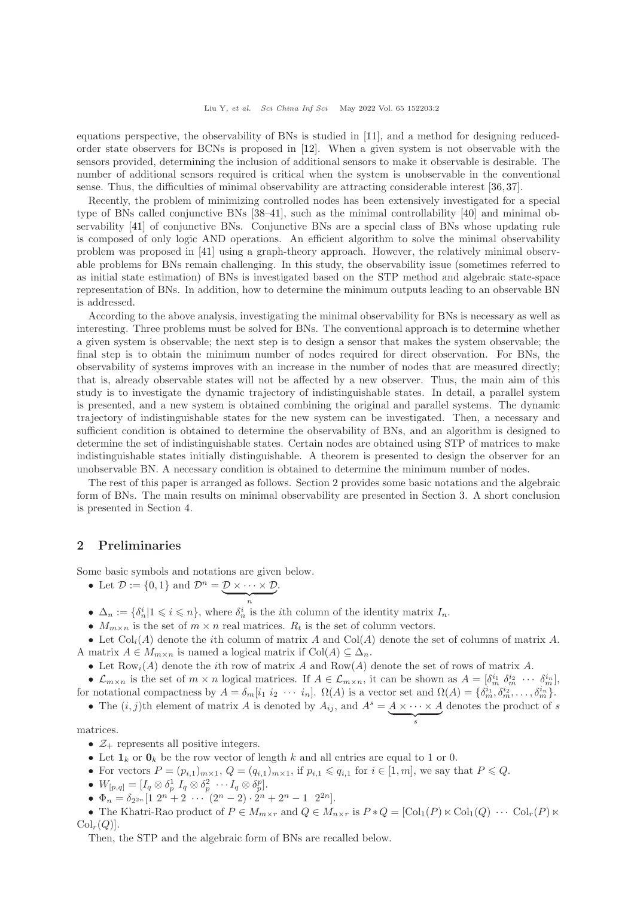equations perspective, the observability of BNs is studied in [\[11\]](#page-11-14), and a method for designing reducedorder state observers for BCNs is proposed in [\[12\]](#page-11-17). When a given system is not observable with the sensors provided, determining the inclusion of additional sensors to make it observable is desirable. The number of additional sensors required is critical when the system is unobservable in the conventional sense. Thus, the difficulties of minimal observability are attracting considerable interest [\[36,](#page-11-18) [37\]](#page-11-19).

Recently, the problem of minimizing controlled nodes has been extensively investigated for a special type of BNs called conjunctive BNs [\[38](#page-11-20)[–41\]](#page-11-21), such as the minimal controllability [\[40\]](#page-11-22) and minimal observability [\[41\]](#page-11-21) of conjunctive BNs. Conjunctive BNs are a special class of BNs whose updating rule is composed of only logic AND operations. An efficient algorithm to solve the minimal observability problem was proposed in [\[41\]](#page-11-21) using a graph-theory approach. However, the relatively minimal observable problems for BNs remain challenging. In this study, the observability issue (sometimes referred to as initial state estimation) of BNs is investigated based on the STP method and algebraic state-space representation of BNs. In addition, how to determine the minimum outputs leading to an observable BN is addressed.

According to the above analysis, investigating the minimal observability for BNs is necessary as well as interesting. Three problems must be solved for BNs. The conventional approach is to determine whether a given system is observable; the next step is to design a sensor that makes the system observable; the final step is to obtain the minimum number of nodes required for direct observation. For BNs, the observability of systems improves with an increase in the number of nodes that are measured directly; that is, already observable states will not be affected by a new observer. Thus, the main aim of this study is to investigate the dynamic trajectory of indistinguishable states. In detail, a parallel system is presented, and a new system is obtained combining the original and parallel systems. The dynamic trajectory of indistinguishable states for the new system can be investigated. Then, a necessary and sufficient condition is obtained to determine the observability of BNs, and an algorithm is designed to determine the set of indistinguishable states. Certain nodes are obtained using STP of matrices to make indistinguishable states initially distinguishable. A theorem is presented to design the observer for an unobservable BN. A necessary condition is obtained to determine the minimum number of nodes.

The rest of this paper is arranged as follows. Section [2](#page-1-0) provides some basic notations and the algebraic form of BNs. The main results on minimal observability are presented in Section [3.](#page-2-0) A short conclusion is presented in Section [4.](#page-10-9)

## <span id="page-1-0"></span>2 Preliminaries

Some basic symbols and notations are given below.

• Let  $\mathcal{D} := \{0, 1\}$  and  $\mathcal{D}^n = \mathcal{D} \times \cdots \times \mathcal{D}$  $\overbrace{n}$ .

•  $\Delta_n := \{\delta_n^i | 1 \leqslant i \leqslant n\}$ , where  $\delta_n^i$  is the *i*th column of the identity matrix  $I_n$ .

•  $M_{m \times n}$  is the set of  $m \times n$  real matrices.  $R_t$  is the set of column vectors.

• Let  $\text{Col}_i(A)$  denote the *i*th column of matrix A and  $\text{Col}(A)$  denote the set of columns of matrix A. A matrix  $A \in M_{m \times n}$  is named a logical matrix if  $Col(A) \subseteq \Delta_n$ .

• Let  $Row_i(A)$  denote the *i*th row of matrix A and  $Row(A)$  denote the set of rows of matrix A.

•  $\mathcal{L}_{m \times n}$  is the set of  $m \times n$  logical matrices. If  $A \in \mathcal{L}_{m \times n}$ , it can be shown as  $A = [\delta_m^{i_1} \delta_m^{i_2} \cdots \delta_m^{i_n}],$ for notational compactness by  $A = \delta_m[i_1 \ i_2 \ \cdots \ i_n]$ .  $\Omega(A)$  is a vector set and  $\Omega(A) = \{\delta_m^{i_1}, \delta_m^{i_2}, \dots, \delta_m^{i_n}\}.$ 

• The  $(i, j)$ th element of matrix A is denoted by  $A_{ij}$ , and  $A^s = A \times \cdots \times A^s$  $\overbrace{\phantom{a}}^s$ denotes the product of s

matrices.

- $\mathcal{Z}_+$  represents all positive integers.
- Let  $\mathbf{1}_k$  or  $\mathbf{0}_k$  be the row vector of length k and all entries are equal to 1 or 0.
- For vectors  $P = (p_{i,1})_{m \times 1}$ ,  $Q = (q_{i,1})_{m \times 1}$ , if  $p_{i,1} \leqslant q_{i,1}$  for  $i \in [1,m]$ , we say that  $P \leqslant Q$ .
- $W_{[p,q]} = [I_q \otimes \delta_p^1 \ I_q \otimes \delta_p^2 \ \cdots I_q \otimes \delta_p^p].$
- $\Phi_n = \delta_{2^{2n}} \left[ 1 \ 2^n + 2 \ \cdots \ (2^n 2) \cdot 2^n + 2^n 1 \ 2^{2n} \right].$

• The Khatri-Rao product of  $P \in M_{m \times r}$  and  $Q \in M_{n \times r}$  is  $P * Q = [\text{Col}_1(P) \times \text{Col}_1(Q) \cdots \text{Col}_r(P) \times$  $Col_r(Q)$ .

Then, the STP and the algebraic form of BNs are recalled below.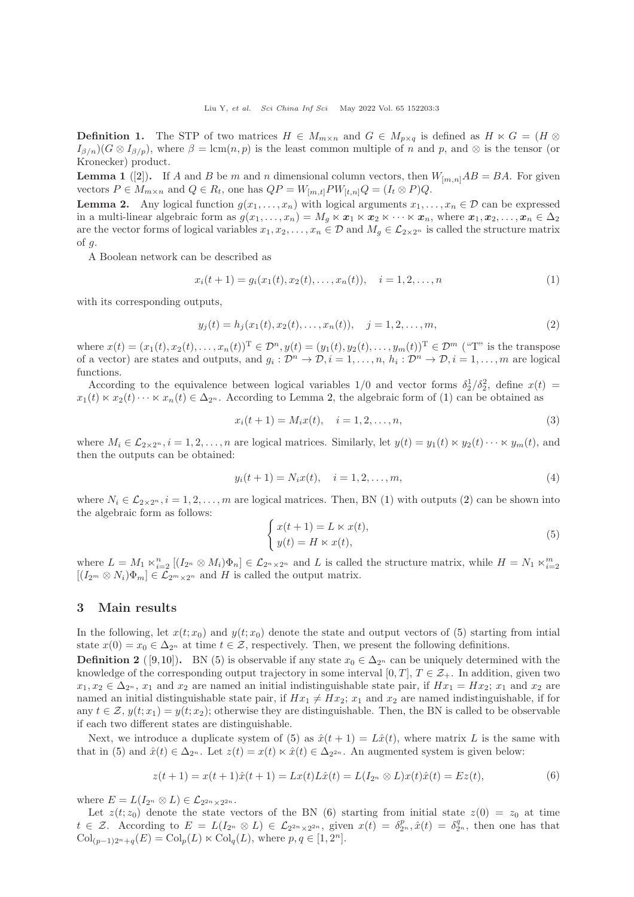<span id="page-2-7"></span>**Definition 1.** The STP of two matrices  $H \in M_{m \times n}$  and  $G \in M_{p \times q}$  is defined as  $H \ltimes G = (H \otimes$  $I_{\beta/n}$ )( $G \otimes I_{\beta/p}$ ), where  $\beta = \text{lcm}(n, p)$  is the least common multiple of n and p, and  $\otimes$  is the tensor (or Kronecker) product.

**Lemma 1** ([\[2\]](#page-10-1)). If A and B be m and n dimensional column vectors, then  $W_{[m,n]}AB = BA$ . For given vectors  $P \in M_{m \times n}$  and  $Q \in R_t$ , one has  $QP = W_{[m,t]}PW_{[t,n]}Q = (I_t \otimes P)Q$ .

<span id="page-2-1"></span>**Lemma 2.** Any logical function  $g(x_1, \ldots, x_n)$  with logical arguments  $x_1, \ldots, x_n \in \mathcal{D}$  can be expressed in a multi-linear algebraic form as  $g(x_1, \ldots, x_n) = M_q \ltimes x_1 \ltimes x_2 \ltimes \cdots \ltimes x_n$ , where  $x_1, x_2, \ldots, x_n \in \Delta_2$ are the vector forms of logical variables  $x_1, x_2, \ldots, x_n \in \mathcal{D}$  and  $M_q \in \mathcal{L}_{2 \times 2^n}$  is called the structure matrix of  $g$ .

A Boolean network can be described as

<span id="page-2-2"></span>
$$
x_i(t+1) = g_i(x_1(t), x_2(t), \dots, x_n(t)), \quad i = 1, 2, \dots, n
$$
\n(1)

with its corresponding outputs.

<span id="page-2-3"></span>
$$
y_j(t) = h_j(x_1(t), x_2(t), \dots, x_n(t)), \quad j = 1, 2, \dots, m,
$$
\n(2)

where  $x(t) = (x_1(t), x_2(t), \dots, x_n(t))^T \in \mathcal{D}^n$ ,  $y(t) = (y_1(t), y_2(t), \dots, y_m(t))^T \in \mathcal{D}^m$  ("T" is the transpose of a vector) are states and outputs, and  $g_i: \mathcal{D}^n \to \mathcal{D}, i = 1, \ldots, n$ ,  $h_i: \mathcal{D}^n \to \mathcal{D}, i = 1, \ldots, m$  are logical functions.

According to the equivalence between logical variables  $1/0$  and vector forms  $\delta_2^1/\delta_2^2$ , define  $x(t)$  =  $x_1(t) \ltimes x_2(t) \cdots \ltimes x_n(t) \in \Delta_{2^n}$ . According to Lemma [2,](#page-2-1) the algebraic form of [\(1\)](#page-2-2) can be obtained as

$$
x_i(t+1) = M_i x(t), \quad i = 1, 2, \dots, n,
$$
\n(3)

where  $M_i \in \mathcal{L}_{2 \times 2^n}$ ,  $i = 1, 2, \ldots, n$  are logical matrices. Similarly, let  $y(t) = y_1(t) \ltimes y_2(t) \cdots \ltimes y_m(t)$ , and then the outputs can be obtained:

$$
y_i(t+1) = N_i x(t), \quad i = 1, 2, \dots, m,
$$
\n(4)

where  $N_i \in \mathcal{L}_{2\times 2^n}$ ,  $i = 1, 2, ..., m$  are logical matrices. Then, BN [\(1\)](#page-2-2) with outputs [\(2\)](#page-2-3) can be shown into the algebraic form as follows:

<span id="page-2-4"></span>
$$
\begin{cases}\nx(t+1) = L \ltimes x(t), \\
y(t) = H \ltimes x(t),\n\end{cases} \tag{5}
$$

where  $L = M_1 \ltimes_{i=2}^n [(I_{2^n} \otimes M_i)\Phi_n] \in \mathcal{L}_{2^n \times 2^n}$  and L is called the structure matrix, while  $H = N_1 \ltimes_{i=2}^m$  $[(I_{2^m} \otimes N_i)\Phi_m] \in \mathcal{L}_{2^m \times 2^n}$  and H is called the output matrix.

### <span id="page-2-0"></span>3 Main results

In the following, let  $x(t; x_0)$  and  $y(t; x_0)$  denote the state and output vectors of [\(5\)](#page-2-4) starting from intial state  $x(0) = x_0 \in \Delta_{2^n}$  at time  $t \in \mathcal{Z}$ , respectively. Then, we present the following definitions.

<span id="page-2-6"></span>**Definition 2** ([\[9,](#page-10-8)[10\]](#page-10-10)). BN [\(5\)](#page-2-4) is observable if any state  $x_0 \in \Delta_{2^n}$  can be uniquely determined with the knowledge of the corresponding output trajectory in some interval [0, T],  $T \in \mathcal{Z}_+$ . In addition, given two  $x_1, x_2 \in \Delta_{2^n}$ ,  $x_1$  and  $x_2$  are named an initial indistinguishable state pair, if  $Hx_1 = Hx_2$ ;  $x_1$  and  $x_2$  are named an initial distinguishable state pair, if  $Hx_1 \neq Hx_2$ ;  $x_1$  and  $x_2$  are named indistinguishable, if for any  $t \in \mathcal{Z}$ ,  $y(t; x_1) = y(t; x_2)$ ; otherwise they are distinguishable. Then, the BN is called to be observable if each two different states are distinguishable.

Next, we introduce a duplicate system of [\(5\)](#page-2-4) as  $\hat{x}(t+1) = L\hat{x}(t)$ , where matrix L is the same with that in [\(5\)](#page-2-4) and  $\hat{x}(t) \in \Delta_{2^n}$ . Let  $z(t) = x(t) \ltimes \hat{x}(t) \in \Delta_{2^{2^n}}$ . An augmented system is given below:

<span id="page-2-5"></span>
$$
z(t+1) = x(t+1)\hat{x}(t+1) = Lx(t)L\hat{x}(t) = L(I_{2^n} \otimes L)x(t)\hat{x}(t) = Ez(t),
$$
\n(6)

where  $E = L(I_{2^n} \otimes L) \in \mathcal{L}_{2^{2n} \times 2^{2n}}$ .

Let  $z(t; z_0)$  denote the state vectors of the BN [\(6\)](#page-2-5) starting from initial state  $z(0) = z_0$  at time  $t \in \mathcal{Z}$ . According to  $E = L(I_{2^n} \otimes L) \in \mathcal{L}_{2^{2n} \times 2^{2n}}$ , given  $x(t) = \delta_{2^n}^p$ ,  $\hat{x}(t) = \delta_{2^n}^q$ , then one has that  $Col_{(p-1)2^n+q}(E) = Col_p(L) \ltimes Col_q(L)$ , where  $p, q \in [1, 2^n]$ .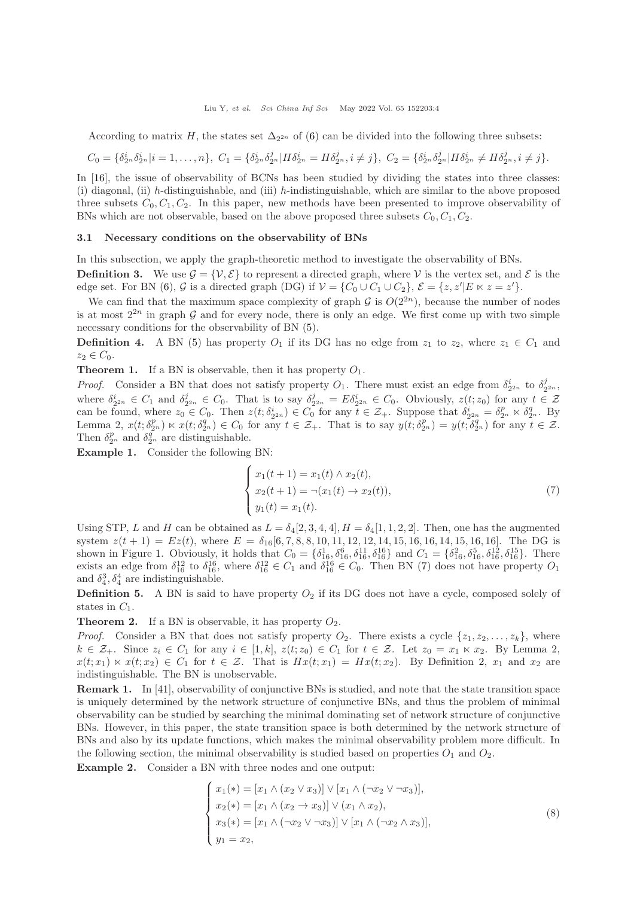According to matrix H, the states set  $\Delta_{2^{2n}}$  of [\(6\)](#page-2-5) can be divided into the following three subsets:

$$
C_0 = \{\delta_{2^n}^i \delta_{2^n}^i | i = 1, \ldots, n\}, \ C_1 = \{\delta_{2^n}^i \delta_{2^n}^j | H \delta_{2^n}^i = H \delta_{2^n}^j, i \neq j\}, \ C_2 = \{\delta_{2^n}^i \delta_{2^n}^j | H \delta_{2^n}^i \neq H \delta_{2^n}^j, i \neq j\}.
$$

In [\[16\]](#page-11-23), the issue of observability of BCNs has been studied by dividing the states into three classes: (i) diagonal, (ii) h-distinguishable, and (iii) h-indistinguishable, which are similar to the above proposed three subsets  $C_0, C_1, C_2$ . In this paper, new methods have been presented to improve observability of BNs which are not observable, based on the above proposed three subsets  $C_0, C_1, C_2$ .

#### 3.1 Necessary conditions on the observability of BNs

In this subsection, we apply the graph-theoretic method to investigate the observability of BNs.

**Definition 3.** We use  $\mathcal{G} = \{V, \mathcal{E}\}\$  to represent a directed graph, where V is the vertex set, and  $\mathcal{E}$  is the edge set. For BN [\(6\)](#page-2-5), G is a directed graph (DG) if  $V = \{C_0 \cup C_1 \cup C_2\}$ ,  $\mathcal{E} = \{z, z'|E \ltimes z = z'\}.$ 

We can find that the maximum space complexity of graph G is  $O(2^{2n})$ , because the number of nodes is at most  $2^{2n}$  in graph G and for every node, there is only an edge. We first come up with two simple necessary conditions for the observability of BN [\(5\)](#page-2-4).

**Definition 4.** A BN [\(5\)](#page-2-4) has property  $O_1$  if its DG has no edge from  $z_1$  to  $z_2$ , where  $z_1 \in C_1$  and  $z_2 \in C_0$ .

**Theorem 1.** If a BN is observable, then it has property  $O_1$ .

*Proof.* Consider a BN that does not satisfy property  $O_1$ . There must exist an edge from  $\delta_{2^{2n}}^i$  to  $\delta_2^j$ 2 <sup>2</sup><sup>n</sup> , where  $\delta_{2^{2n}}^i \in C_1$  and  $\delta_2^j$  $j_{2^{2n}} \in C_0$ . That is to say  $\delta_2^j$  $Z_{2^{2n}}^j = E \delta_{2^{2n}}^i \in C_0$ . Obviously,  $z(t; z_0)$  for any  $t \in \mathcal{Z}$ can be found, where  $z_0 \in C_0$ . Then  $z(t; \delta_{2^{2n}}) \in C_0$  for any  $t \in \mathcal{Z}_+$ . Suppose that  $\delta_{2^{2n}}^i = \delta_{2^n}^p \ltimes \delta_{2^n}^q$ . By Lemma 2,  $x(t; \delta_{2^n}^p) \lt x(t; \delta_{2^n}^q) \in C_0$  for any  $t \in \mathcal{Z}_+$ . That is to say  $y(t; \delta_{2^n}^p) = y(t; \delta_{2^n}^q)$  for any  $t \in \mathcal{Z}$ . Then  $\delta_{2^n}^p$  and  $\delta_{2^n}^q$  are distinguishable.

<span id="page-3-1"></span>Example 1. Consider the following BN:

<span id="page-3-0"></span>
$$
\begin{cases}\nx_1(t+1) = x_1(t) \wedge x_2(t), \\
x_2(t+1) = \neg(x_1(t) \to x_2(t)), \\
y_1(t) = x_1(t).\n\end{cases}
$$
\n(7)

Using STP, L and H can be obtained as  $L = \delta_4[2, 3, 4, 4], H = \delta_4[1, 1, 2, 2].$  Then, one has the augmented system  $z(t + 1) = Ez(t)$ , where  $E = \delta_{16}[6, 7, 8, 8, 10, 11, 12, 12, 14, 15, 16, 16, 14, 15, 16, 16]$ . The DG is shown in Figure [1.](#page-4-0) Obviously, it holds that  $C_0 = \{\delta_{16}^1, \delta_{16}^6, \delta_{16}^{11}, \delta_{16}^{16}\}$  and  $C_1 = \{\delta_{16}^2, \delta_{16}^5, \delta_{16}^{12}, \delta_{16}^{15}\}$ . There exists an edge from  $\delta_{16}^{12}$  to  $\delta_{16}^{16}$ , where  $\delta_{16}^{12} \in C_1$  and  $\delta_{16}^{16} \in C_0$ . Then BN [\(7\)](#page-3-0) does not have property  $O_1$ and  $\delta_4^3, \delta_4^4$  are indistinguishable.

**Definition 5.** A BN is said to have property  $O_2$  if its DG does not have a cycle, composed solely of states in  $C_1$ .

<span id="page-3-4"></span>**Theorem 2.** If a BN is observable, it has property  $O_2$ .

*Proof.* Consider a BN that does not satisfy property  $O_2$ . There exists a cycle  $\{z_1, z_2, \ldots, z_k\}$ , where  $k \in \mathcal{Z}_+$ . Since  $z_i \in C_1$  for any  $i \in [1, k]$ ,  $z(t; z_0) \in C_1$  for  $t \in \mathcal{Z}$ . Let  $z_0 = x_1 \ltimes x_2$ . By Lemma 2,  $x(t; x_1) \ltimes x(t; x_2) \in C_1$  for  $t \in \mathcal{Z}$ . That is  $Hx(t; x_1) = Hx(t; x_2)$ . By Definition [2,](#page-2-6)  $x_1$  and  $x_2$  are indistinguishable. The BN is unobservable.

Remark 1. In [\[41\]](#page-11-21), observability of conjunctive BNs is studied, and note that the state transition space is uniquely determined by the network structure of conjunctive BNs, and thus the problem of minimal observability can be studied by searching the minimal dominating set of network structure of conjunctive BNs. However, in this paper, the state transition space is both determined by the network structure of BNs and also by its update functions, which makes the minimal observability problem more difficult. In the following section, the minimal observability is studied based on properties  $O_1$  and  $O_2$ .

<span id="page-3-3"></span>Example 2. Consider a BN with three nodes and one output:

<span id="page-3-2"></span>
$$
\begin{cases}\nx_1(*) = [x_1 \land (x_2 \lor x_3)] \lor [x_1 \land (\neg x_2 \lor \neg x_3)], \\
x_2(*) = [x_1 \land (x_2 \to x_3)] \lor (x_1 \land x_2), \\
x_3(*) = [x_1 \land (\neg x_2 \lor \neg x_3)] \lor [x_1 \land (\neg x_2 \land x_3)], \\
y_1 = x_2,\n\end{cases}
$$
\n(8)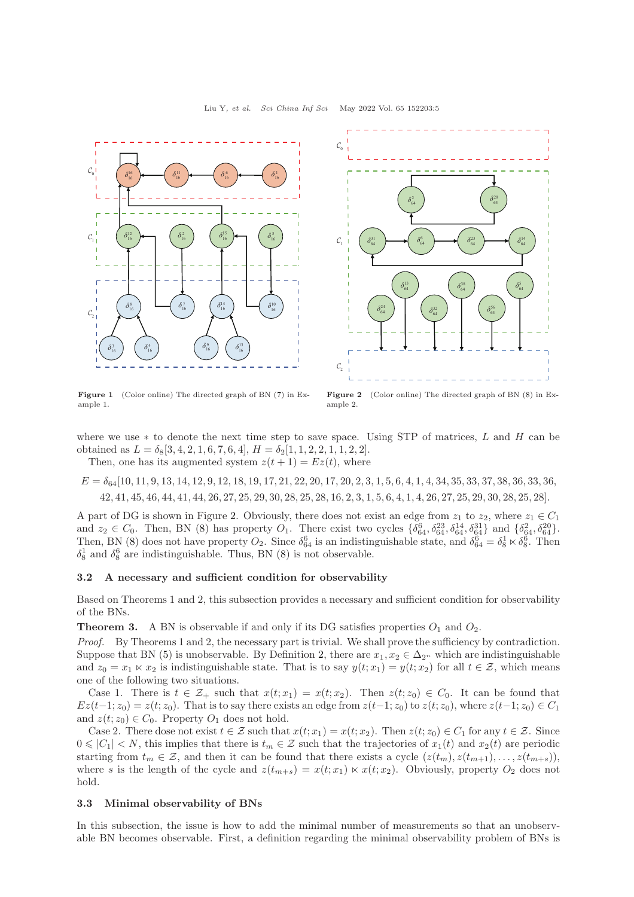<span id="page-4-0"></span>

Figure 1 (Color online) The directed graph of BN [\(7\)](#page-3-0) in Example [1.](#page-3-1)



Figure 2 (Color online) The directed graph of BN [\(8\)](#page-3-2) in Example [2.](#page-3-3)

where we use  $*$  to denote the next time step to save space. Using STP of matrices, L and H can be obtained as  $L = \delta_8[3, 4, 2, 1, 6, 7, 6, 4], H = \delta_2[1, 1, 2, 2, 1, 1, 2, 2].$ 

Then, one has its augmented system  $z(t + 1) = Ez(t)$ , where

 $E = \delta_{64}[10, 11, 9, 13, 14, 12, 9, 12, 18, 19, 17, 21, 22, 20, 17, 20, 2, 3, 1, 5, 6, 4, 1, 4, 34, 35, 33, 37, 38, 36, 33, 36,$ 42, 41, 45, 46, 44, 41, 44, 26, 27, 25, 29, 30, 28, 25, 28, 16, 2, 3, 1, 5, 6, 4, 1, 4, 26, 27, 25, 29, 30, 28, 25, 28].

A part of DG is shown in Figure [2.](#page-4-0) Obviously, there does not exist an edge from  $z_1$  to  $z_2$ , where  $z_1 \in C_1$ and  $z_2 \in C_0$ . Then, BN [\(8\)](#page-3-2) has property  $O_1$ . There exist two cycles  $\{\delta_{64}^6, \delta_{64}^{23}, \delta_{64}^{14}, \delta_{64}^{31}\}$  and  $\{\delta_{64}^2, \delta_{64}^{20}\}$ . Then, BN [\(8\)](#page-3-2) does not have property  $O_2$ . Since  $\delta_{64}^6$  is an indistinguishable state, and  $\delta_{64}^6 = \delta_8^1 \times \delta_8^6$ . Then  $\delta_8^1$  and  $\delta_8^6$  are indistinguishable. Thus, BN [\(8\)](#page-3-2) is not observable.

#### 3.2 A necessary and sufficient condition for observability

Based on Theorems 1 and 2, this subsection provides a necessary and sufficient condition for observability of the BNs.

<span id="page-4-1"></span>**Theorem 3.** A BN is observable if and only if its DG satisfies properties  $O_1$  and  $O_2$ .

Proof. By Theorems 1 and 2, the necessary part is trivial. We shall prove the sufficiency by contradiction. Suppose that BN [\(5\)](#page-2-4) is unobservable. By Definition [2,](#page-2-6) there are  $x_1, x_2 \in \Delta_{2^n}$  which are indistinguishable and  $z_0 = x_1 \ltimes x_2$  is indistinguishable state. That is to say  $y(t; x_1) = y(t; x_2)$  for all  $t \in \mathcal{Z}$ , which means one of the following two situations.

Case 1. There is  $t \in \mathcal{Z}_+$  such that  $x(t; x_1) = x(t; x_2)$ . Then  $z(t; z_0) \in C_0$ . It can be found that  $Ez(t-1; z_0) = z(t; z_0)$ . That is to say there exists an edge from  $z(t-1; z_0)$  to  $z(t; z_0)$ , where  $z(t-1; z_0) \in C_1$ and  $z(t; z_0) \in C_0$ . Property  $O_1$  does not hold.

Case 2. There dose not exist  $t \in \mathcal{Z}$  such that  $x(t; x_1) = x(t; x_2)$ . Then  $z(t; z_0) \in C_1$  for any  $t \in \mathcal{Z}$ . Since  $0 \leq C_1 < N$ , this implies that there is  $t_m \in \mathcal{Z}$  such that the trajectories of  $x_1(t)$  and  $x_2(t)$  are periodic starting from  $t_m \in \mathcal{Z}$ , and then it can be found that there exists a cycle  $(z(t_m), z(t_{m+1}), \ldots, z(t_{m+s}))$ , where s is the length of the cycle and  $z(t_{m+s}) = x(t; x_1) \ltimes x(t; x_2)$ . Obviously, property  $O_2$  does not hold.

#### 3.3 Minimal observability of BNs

In this subsection, the issue is how to add the minimal number of measurements so that an unobservable BN becomes observable. First, a definition regarding the minimal observability problem of BNs is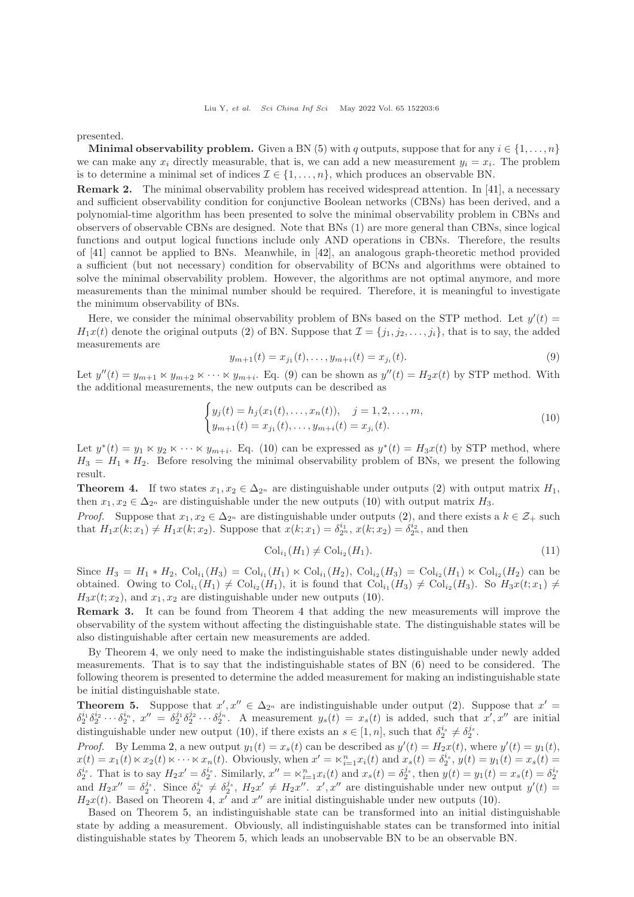presented.

**Minimal observability problem.** Given a BN [\(5\)](#page-2-4) with q outputs, suppose that for any  $i \in \{1, \ldots, n\}$ we can make any  $x_i$  directly measurable, that is, we can add a new measurement  $y_i = x_i$ . The problem is to determine a minimal set of indices  $\mathcal{I} \in \{1, \ldots, n\}$ , which produces an observable BN.

Remark 2. The minimal observability problem has received widespread attention. In [\[41\]](#page-11-21), a necessary and sufficient observability condition for conjunctive Boolean networks (CBNs) has been derived, and a polynomial-time algorithm has been presented to solve the minimal observability problem in CBNs and observers of observable CBNs are designed. Note that BNs (1) are more general than CBNs, since logical functions and output logical functions include only AND operations in CBNs. Therefore, the results of [\[41\]](#page-11-21) cannot be applied to BNs. Meanwhile, in [\[42\]](#page-11-24), an analogous graph-theoretic method provided a sufficient (but not necessary) condition for observability of BCNs and algorithms were obtained to solve the minimal observability problem. However, the algorithms are not optimal anymore, and more measurements than the minimal number should be required. Therefore, it is meaningful to investigate the minimum observability of BNs.

Here, we consider the minimal observability problem of BNs based on the STP method. Let  $y'(t)$  $H_1x(t)$  denote the original outputs [\(2\)](#page-2-3) of BN. Suppose that  $\mathcal{I} = \{j_1, j_2, \ldots, j_i\}$ , that is to say, the added measurements are

<span id="page-5-0"></span>
$$
y_{m+1}(t) = x_{j_1}(t), \dots, y_{m+i}(t) = x_{j_i}(t). \tag{9}
$$

Let  $y''(t) = y_{m+1} \ltimes y_{m+2} \ltimes \cdots \ltimes y_{m+i}$ . Eq. [\(9\)](#page-5-0) can be shown as  $y''(t) = H_2x(t)$  by STP method. With the additional measurements, the new outputs can be described as

<span id="page-5-1"></span>
$$
\begin{cases} y_j(t) = h_j(x_1(t), \dots, x_n(t)), \quad j = 1, 2, \dots, m, \\ y_{m+1}(t) = x_{j_1}(t), \dots, y_{m+i}(t) = x_{j_i}(t). \end{cases}
$$
\n(10)

Let  $y^*(t) = y_1 \ltimes y_2 \ltimes \cdots \ltimes y_{m+i}$ . Eq. [\(10\)](#page-5-1) can be expressed as  $y^*(t) = H_3x(t)$  by STP method, where  $H_3 = H_1 * H_2$ . Before resolving the minimal observability problem of BNs, we present the following result.

<span id="page-5-2"></span>**Theorem 4.** If two states  $x_1, x_2 \in \Delta_{2^n}$  are distinguishable under outputs [\(2\)](#page-2-3) with output matrix  $H_1$ , then  $x_1, x_2 \in \Delta_{2^n}$  are distinguishable under the new outputs [\(10\)](#page-5-1) with output matrix  $H_3$ .

*Proof.* Suppose that  $x_1, x_2 \in \Delta_{2^n}$  are distinguishable under outputs [\(2\)](#page-2-3), and there exists a  $k \in \mathcal{Z}_+$  such that  $H_1x(k; x_1) \neq H_1x(k; x_2)$ . Suppose that  $x(k; x_1) = \delta_{2^n}^{i_1}$ ,  $x(k; x_2) = \delta_{2^n}^{i_2}$ , and then

$$
\mathrm{Col}_{i_1}(H_1) \neq \mathrm{Col}_{i_2}(H_1). \tag{11}
$$

Since  $H_3 = H_1 * H_2$ ,  $Col_{i_1}(H_3) = Col_{i_1}(H_1) \ltimes Col_{i_1}(H_2)$ ,  $Col_{i_2}(H_3) = Col_{i_2}(H_1) \ltimes Col_{i_2}(H_2)$  can be obtained. Owing to  $Col_{i_1}(H_1) \neq Col_{i_2}(H_1)$ , it is found that  $Col_{i_1}(H_3) \neq Col_{i_2}(H_3)$ . So  $H_3x(t; x_1) \neq$  $H_3x(t; x_2)$ , and  $x_1, x_2$  are distinguishable under new outputs [\(10\)](#page-5-1).

Remark 3. It can be found from Theorem [4](#page-5-2) that adding the new measurements will improve the observability of the system without affecting the distinguishable state. The distinguishable states will be also distinguishable after certain new measurements are added.

By Theorem [4,](#page-5-2) we only need to make the indistinguishable states distinguishable under newly added measurements. That is to say that the indistinguishable states of BN [\(6\)](#page-2-5) need to be considered. The following theorem is presented to determine the added measurement for making an indistinguishable state be initial distinguishable state.

<span id="page-5-3"></span>**Theorem 5.** Suppose that  $x', x'' \in \Delta_{2^n}$  are indistinguishable under output [\(2\)](#page-2-3). Suppose that  $x' =$  $\delta_2^{i_1} \delta_2^{i_2} \cdots \delta_2^{i_n}$ ,  $x'' = \delta_2^{j_1} \delta_2^{j_2} \cdots \delta_2^{j_n}$ . A measurement  $y_s(t) = x_s(t)$  is added, such that  $x', x''$  are initial distinguishable under new output [\(10\)](#page-5-1), if there exists an  $s \in [1, n]$ , such that  $\delta_2^{i_s} \neq \delta_2^{j_s}$ .

*Proof.* By Lemma [2,](#page-2-1) a new output  $y_1(t) = x_s(t)$  can be described as  $y'(t) = H_2x(t)$ , where  $y'(t) = y_1(t)$ ,  $x(t) = x_1(t) \ltimes x_2(t) \ltimes \cdots \ltimes x_n(t)$ . Obviously, when  $x' = \ltimes_{i=1}^n x_i(t)$  and  $x_s(t) = \delta_2^{i_s}$ ,  $y(t) = y_1(t) = x_s(t) =$  $\delta_2^{i_s}$ . That is to say  $H_2x' = \delta_2^{i_s}$ . Similarly,  $x'' = \kappa_{i=1}^n x_i(t)$  and  $x_s(t) = \delta_2^{j_s}$ , then  $y(t) = y_1(t) = x_s(t) = \delta_2^{i_s}$ and  $H_2x'' = \delta_2^{j_s}$ . Since  $\delta_2^{i_s} \neq \delta_2^{j_s}$ ,  $H_2x' \neq H_2x''$ .  $x', x''$  are distinguishable under new output  $y'(t)$  $H_2x(t)$ . Based on Theorem [4,](#page-5-2) x' and x'' are initial distinguishable under new outputs [\(10\)](#page-5-1).

Based on Theorem [5,](#page-5-3) an indistinguishable state can be transformed into an initial distinguishable state by adding a measurement. Obviously, all indistinguishable states can be transformed into initial distinguishable states by Theorem [5,](#page-5-3) which leads an unobservable BN to be an observable BN.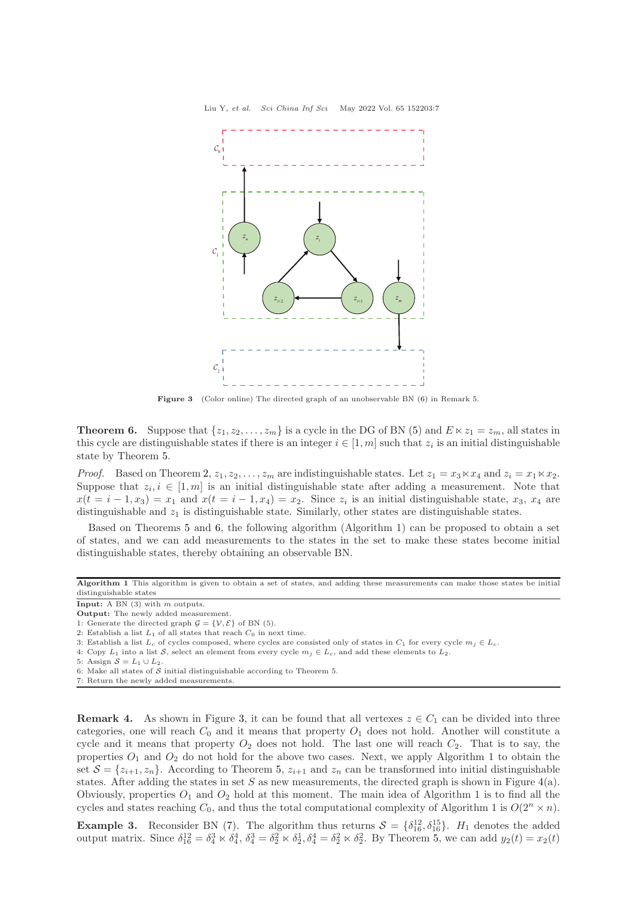<span id="page-6-1"></span>

Figure 3 (Color online) The directed graph of an unobservable BN [\(6\)](#page-2-5) in Remark 5.

<span id="page-6-0"></span>**Theorem 6.** Suppose that  $\{z_1, z_2, \ldots, z_m\}$  is a cycle in the DG of BN [\(5\)](#page-2-4) and  $E \ltimes z_1 = z_m$ , all states in this cycle are distinguishable states if there is an integer  $i \in [1, m]$  such that  $z_i$  is an initial distinguishable state by Theorem [5.](#page-5-3)

*Proof.* Based on Theorem [2,](#page-3-4)  $z_1, z_2, \ldots, z_m$  are indistinguishable states. Let  $z_1 = x_3 \ltimes x_4$  and  $z_i = x_1 \ltimes x_2$ . Suppose that  $z_i, i \in [1, m]$  is an initial distinguishable state after adding a measurement. Note that  $x(t = i - 1, x_3) = x_1$  and  $x(t = i - 1, x_4) = x_2$ . Since  $z_i$  is an initial distinguishable state,  $x_3, x_4$  are distinguishable and  $z_1$  is distinguishable state. Similarly, other states are distinguishable states.

Based on Theorems [5](#page-5-3) and [6,](#page-6-0) the following algorithm (Algorithm 1) can be proposed to obtain a set of states, and we can add measurements to the states in the set to make these states become initial distinguishable states, thereby obtaining an observable BN.

- 4: Copy  $L_1$  into a list S, select an element from every cycle  $m_j \in L_c$ , and add these elements to  $L_2$ .
- 5: Assign  $S = L_1 \cup L_2$ .
- 6: Make all states of  $S$  initial distinguishable according to Theorem 5.
- 7: Return the newly added measurements.

**Remark 4.** As shown in Figure [3,](#page-6-1) it can be found that all vertexes  $z \in C_1$  can be divided into three categories, one will reach  $C_0$  and it means that property  $O_1$  does not hold. Another will constitute a cycle and it means that property  $O_2$  does not hold. The last one will reach  $C_2$ . That is to say, the properties  $O_1$  and  $O_2$  do not hold for the above two cases. Next, we apply Algorithm 1 to obtain the set  $S = \{z_{i+1}, z_n\}$ . According to Theorem [5,](#page-5-3)  $z_{i+1}$  and  $z_n$  can be transformed into initial distinguishable states. After adding the states in set S as new measurements, the directed graph is shown in Figure  $4(a)$  $4(a)$ . Obviously, properties  $O_1$  and  $O_2$  hold at this moment. The main idea of Algorithm 1 is to find all the cycles and states reaching  $C_0$ , and thus the total computational complexity of Algorithm 1 is  $O(2^n \times n)$ .

**Example 3.** Reconsider BN [\(7\)](#page-3-0). The algorithm thus returns  $S = \{\delta_{16}^{12}, \delta_{16}^{15}\}\$ .  $H_1$  denotes the added output matrix. Since  $\delta_{16}^{12} = \delta_4^3 \times \delta_4^4$ ,  $\delta_4^3 = \delta_2^2 \times \delta_2^1$ ,  $\delta_4^4 = \delta_2^2 \times \delta_2^2$ . By Theorem [5,](#page-5-3) we can add  $y_2(t) = x_2(t)$ 

Algorithm 1 This algorithm is given to obtain a set of states, and adding these measurements can make those states be initial distinguishable states

Input: A BN (3) with m outputs.

Output: The newly added measurement.

<sup>1:</sup> Generate the directed graph  $\mathcal{G} = \{ \mathcal{V}, \mathcal{E} \}$  of BN (5).

<sup>2:</sup> Establish a list  $L_1$  of all states that reach  $C_0$  in next time.

<sup>3:</sup> Establish a list  $L_c$  of cycles composed, where cycles are consisted only of states in  $C_1$  for every cycle  $m_j \in L_c$ .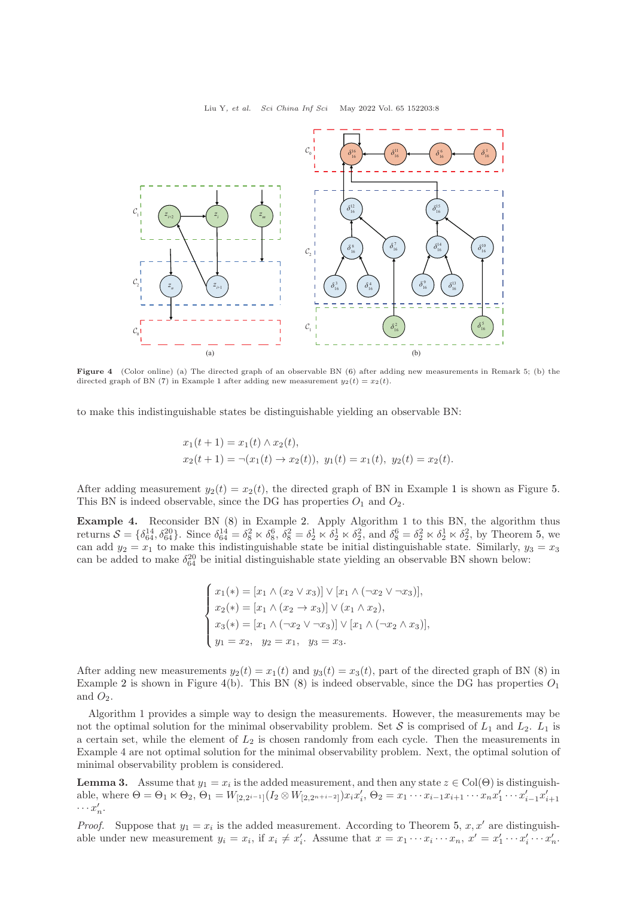<span id="page-7-0"></span>

Figure 4 (Color online) (a) The directed graph of an observable BN [\(6\)](#page-2-5) after adding new measurements in Remark 5; (b) the directed graph of BN [\(7\)](#page-3-0) in Example [1](#page-3-1) after adding new measurement  $y_2(t) = x_2(t)$ .

to make this indistinguishable states be distinguishable yielding an observable BN:

$$
x_1(t+1) = x_1(t) \wedge x_2(t),
$$
  
\n
$$
x_2(t+1) = \neg(x_1(t) \to x_2(t)), \ y_1(t) = x_1(t), \ y_2(t) = x_2(t).
$$

After adding measurement  $y_2(t) = x_2(t)$ , the directed graph of BN in Example [1](#page-3-1) is shown as Figure [5.](#page-8-0) This BN is indeed observable, since the DG has properties  $O_1$  and  $O_2$ .

Example 4. Reconsider BN [\(8\)](#page-3-2) in Example [2.](#page-3-3) Apply Algorithm 1 to this BN, the algorithm thus returns  $S = \{\delta_{64}^{14}, \delta_{64}^{20}\}\$ . Since  $\delta_{64}^{14} = \delta_8^2 \ltimes \delta_8^6$ ,  $\delta_8^2 = \delta_2^1 \ltimes \delta_2^1 \ltimes \delta_2^2$ , and  $\delta_8^6 = \delta_2^2 \ltimes \delta_2^1 \ltimes \delta_2^2$ , by Theorem [5,](#page-5-3) we can add  $y_2 = x_1$  to make this indistinguishable state be initial distinguishable state. Similarly,  $y_3 = x_3$ can be added to make  $\delta_{64}^{20}$  be initial distinguishable state yielding an observable BN shown below:

$$
\begin{cases}\nx_1(*) = [x_1 \land (x_2 \lor x_3)] \lor [x_1 \land (\neg x_2 \lor \neg x_3)], \\
x_2(*) = [x_1 \land (x_2 \to x_3)] \lor (x_1 \land x_2), \\
x_3(*) = [x_1 \land (\neg x_2 \lor \neg x_3)] \lor [x_1 \land (\neg x_2 \land x_3)], \\
y_1 = x_2, \quad y_2 = x_1, \quad y_3 = x_3.\n\end{cases}
$$

After adding new measurements  $y_2(t) = x_1(t)$  and  $y_3(t) = x_3(t)$ , part of the directed graph of BN [\(8\)](#page-3-2) in Example [2](#page-3-3) is shown in Figure [4\(](#page-7-0)b). This BN  $(8)$  is indeed observable, since the DG has properties  $O_1$ and  $O_2$ .

Algorithm 1 provides a simple way to design the measurements. However, the measurements may be not the optimal solution for the minimal observability problem. Set S is comprised of  $L_1$  and  $L_2$ .  $L_1$  is a certain set, while the element of  $L_2$  is chosen randomly from each cycle. Then the measurements in Example 4 are not optimal solution for the minimal observability problem. Next, the optimal solution of minimal observability problem is considered.

<span id="page-7-1"></span>**Lemma 3.** Assume that  $y_1 = x_i$  is the added measurement, and then any state  $z \in Col(\Theta)$  is distinguishable, where  $\Theta = \Theta_1 \ltimes \Theta_2$ ,  $\Theta_1 = W_{[2,2^{i-1}]}(I_2 \otimes W_{[2,2^{n+i-2}]}) x_i x_i', \Theta_2 = x_1 \cdots x_{i-1} x_{i+1} \cdots x_n x_1' \cdots x_{i-1}' x_{i+1}'$  $\cdots x'_n$ .

*Proof.* Suppose that  $y_1 = x_i$  is the added measurement. According to Theorem [5,](#page-5-3) x, x' are distinguishable under new measurement  $y_i = x_i$ , if  $x_i \neq x'_i$ . Assume that  $x = x_1 \cdots x_i \cdots x_n$ ,  $x' = x'_1 \cdots x'_i \cdots x'_n$ .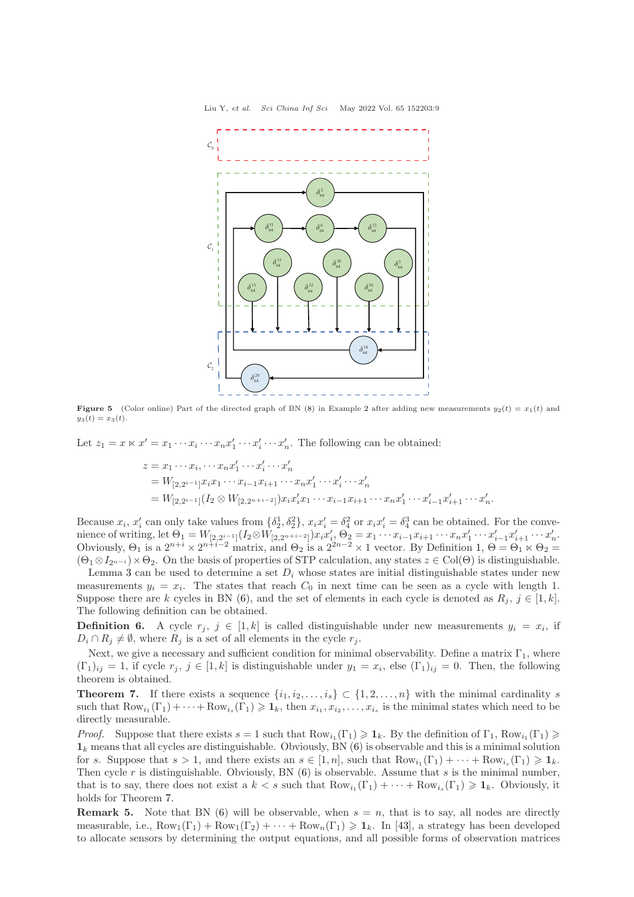<span id="page-8-0"></span>

**Figure 5** (Color online) Part of the directed graph of BN [\(8\)](#page-3-2) in Example [2](#page-3-3) after adding new measurements  $y_2(t) = x_1(t)$  and  $y_3(t) = x_3(t)$ .

Let  $z_1 = x \ltimes x' = x_1 \cdots x_i \cdots x_n x'_1 \cdots x'_i \cdots x'_n$ . The following can be obtained:

$$
z = x_1 \cdots x_i, \cdots x_n x'_1 \cdots x'_n
$$
  
=  $W_{[2,2^{i-1}]} x_i x_1 \cdots x_{i-1} x_{i+1} \cdots x_n x'_1 \cdots x'_i \cdots x'_n$   
=  $W_{[2,2^{i-1}]} (I_2 \otimes W_{[2,2^{n+i-2}]}) x_i x'_i x_1 \cdots x_{i-1} x_{i+1} \cdots x_n x'_1 \cdots x'_{i-1} x'_{i+1} \cdots x'_n.$ 

Because  $x_i$ ,  $x'_i$  can only take values from  $\{\delta_2^1, \delta_2^2\}$ ,  $x_i x'_i = \delta_4^2$  or  $x_i x'_i = \delta_4^3$  can be obtained. For the convenience of writing, let  $\Theta_1 = W_{[2,2^{i-1}]}(I_2 \otimes W_{[2,2^{n+i-2}]}) x_i x_i', \Theta_2 = x_1 \cdots x_{i-1} x_{i+1} \cdots x_n x_1' \cdots x_{i-1}' x_{i+1}' \cdots x_n'.$ Obviously,  $\Theta_1$  is a  $2^{n+i} \times 2^{n+i-2}$  matrix, and  $\Theta_2$  is a  $2^{2n-2} \times 1$  vector. By Definition  $1, \Theta = \Theta_1 \times \Theta_2 =$  $1, \Theta = \Theta_1 \times \Theta_2 =$  $(\Theta_1 \otimes I_{2^{n-i}}) \times \Theta_2$ . On the basis of properties of STP calculation, any states  $z \in Col(\Theta)$  is distinguishable.

Lemma [3](#page-7-1) can be used to determine a set  $D_i$  whose states are initial distinguishable states under new measurements  $y_i = x_i$ . The states that reach  $C_0$  in next time can be seen as a cycle with length 1. Suppose there are k cycles in BN [\(6\)](#page-2-5), and the set of elements in each cycle is denoted as  $R_j$ ,  $j \in [1, k]$ . The following definition can be obtained.

**Definition 6.** A cycle  $r_j$ ,  $j \in [1, k]$  is called distinguishable under new measurements  $y_i = x_i$ , if  $D_i \cap R_j \neq \emptyset$ , where  $R_j$  is a set of all elements in the cycle  $r_j$ .

Next, we give a necessary and sufficient condition for minimal observability. Define a matrix  $\Gamma_1$ , where  $(\Gamma_1)_{ij} = 1$ , if cycle  $r_j, j \in [1, k]$  is distinguishable under  $y_1 = x_i$ , else  $(\Gamma_1)_{ij} = 0$ . Then, the following theorem is obtained.

<span id="page-8-1"></span>**Theorem 7.** If there exists a sequence  $\{i_1, i_2, \ldots, i_s\} \subset \{1, 2, \ldots, n\}$  with the minimal cardinality s such that  $Row_{i_1}(\Gamma_1)+\cdots+Row_{i_s}(\Gamma_1)\geq \mathbf{1}_k$ , then  $x_{i_1},x_{i_2},\ldots,x_{i_s}$  is the minimal states which need to be directly measurable.

*Proof.* Suppose that there exists  $s = 1$  such that  $Row_{i_1}(\Gamma_1) \geq \mathbf{1}_k$ . By the definition of  $\Gamma_1$ ,  $Row_{i_1}(\Gamma_1) \geq$  $\mathbf{1}_k$  means that all cycles are distinguishable. Obviously, BN [\(6\)](#page-2-5) is observable and this is a minimal solution for s. Suppose that  $s > 1$ , and there exists an  $s \in [1, n]$ , such that  $Row_{i_1}(\Gamma_1) + \cdots + Row_{i_s}(\Gamma_1) \geq 1_k$ . Then cycle r is distinguishable. Obviously, BN  $(6)$  is observable. Assume that s is the minimal number, that is to say, there does not exist a  $k < s$  such that  $Row_{i_1}(\Gamma_1) + \cdots + Row_{i_s}(\Gamma_1) \geq 1_k$ . Obviously, it holds for Theorem [7.](#page-8-1)

**Remark 5.** Note that BN [\(6\)](#page-2-5) will be observable, when  $s = n$ , that is to say, all nodes are directly measurable, i.e.,  $Row_1(\Gamma_1) + Row_1(\Gamma_2) + \cdots + Row_n(\Gamma_1) \geq 1_k$ . In [\[43\]](#page-11-25), a strategy has been developed to allocate sensors by determining the output equations, and all possible forms of observation matrices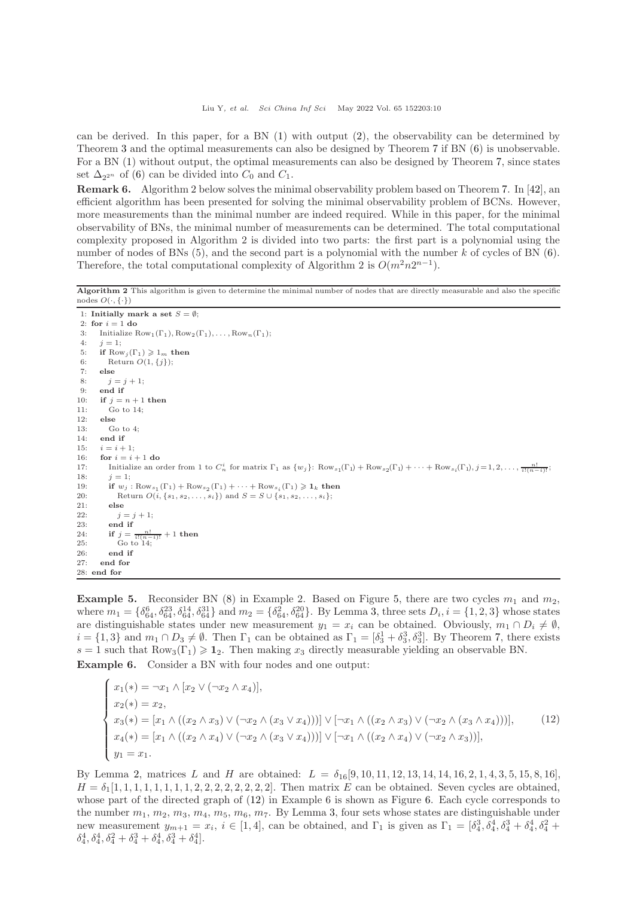can be derived. In this paper, for a BN [\(1\)](#page-2-2) with output [\(2\)](#page-2-3), the observability can be determined by Theorem [3](#page-4-1) and the optimal measurements can also be designed by Theorem [7](#page-8-1) if BN [\(6\)](#page-2-5) is unobservable. For a BN [\(1\)](#page-2-2) without output, the optimal measurements can also be designed by Theorem [7,](#page-8-1) since states set  $\Delta_{2^{2^n}}$  of [\(6\)](#page-2-5) can be divided into  $C_0$  and  $C_1$ .

Remark 6. Algorithm 2 below solves the minimal observability problem based on Theorem [7.](#page-8-1) In [\[42\]](#page-11-24), an efficient algorithm has been presented for solving the minimal observability problem of BCNs. However, more measurements than the minimal number are indeed required. While in this paper, for the minimal observability of BNs, the minimal number of measurements can be determined. The total computational complexity proposed in Algorithm 2 is divided into two parts: the first part is a polynomial using the number of nodes of BNs  $(5)$ , and the second part is a polynomial with the number k of cycles of BN  $(6)$ . Therefore, the total computational complexity of Algorithm 2 is  $O(m^2n2^{n-1})$ .

#### Algorithm 2 This algorithm is given to determine the minimal number of nodes that are directly measurable and also the specific nodes  $O(\cdot, {\{\cdot\}})$

```
1: Initially mark a set S = \emptyset;
 2: for i = 1 do
 3: Initialize Row_1(\Gamma_1), Row_2(\Gamma_1), \ldots, Row_n(\Gamma_1);4: j = 1;5: if \text{Row}_j(\Gamma_1) \geq 1_m then<br>6: \text{Return } O(1, \{j\}).
          Return O(1,\{j\});7: else
 8: i = j + 1;9: end if<br>10: if j = iif j = n + 1 then
11: Go to 14;
12: else
13: Go to 414: end if
15: i = i + 1;
16: for i = i + 1 do
17: Initialize an order from 1 to C_n^i for matrix \Gamma_1 as \{w_j\}: Row_{s_1}(\Gamma_1) + Row_{s_2}(\Gamma_1) + \cdots + Row_{s_i}(\Gamma_1), j = 1, 2, \ldots, \frac{n!}{i!(n-i)!};
18: i = 1:
19: if w_j: \text{Row}_{s_1}(\Gamma_1) + \text{Row}_{s_2}(\Gamma_1) + \cdots + \text{Row}_{s_i}(\Gamma_1) \geq 1_k then
20: Return O(i, \{s_1, s_2, ..., s_i\}) and S = S \cup \{s_1, s_2, ..., s_i\};<br>21: else
          else
22: j = j + 1;23: end if
24: if j = \frac{1}{i!}\frac{1}{(n+1)} + 1 then
25: Go to 14;26: end if
27: end for
28: end for
```
**Example 5.** Reconsider BN [\(8\)](#page-3-2) in Example 2. Based on Figure [5,](#page-8-0) there are two cycles  $m_1$  and  $m_2$ , where  $m_1 = \{\delta_{64}^6, \delta_{64}^{23}, \delta_{64}^{14}, \delta_{64}^{31}\}\$  and  $m_2 = \{\delta_{64}^2, \delta_{64}^{20}\}\$ . By Lemma [3,](#page-7-1) three sets  $D_i$ ,  $i = \{1, 2, 3\}$  whose states are distinguishable states under new measurement  $y_1 = x_i$  can be obtained. Obviously,  $m_1 \cap D_i \neq \emptyset$ ,  $i = \{1,3\}$  and  $m_1 \cap D_3 \neq \emptyset$ . Then  $\Gamma_1$  can be obtained as  $\Gamma_1 = [\delta_3^1 + \delta_3^3, \delta_3^3]$ . By Theorem [7,](#page-8-1) there exists s = 1 such that  $Row_3(\Gamma_1) \ge 1_2$ . Then making  $x_3$  directly measurable yielding an observable BN. Example 6. Consider a BN with four nodes and one output:

<span id="page-9-0"></span>
$$
\begin{cases}\nx_1(*) = \neg x_1 \land [x_2 \lor (\neg x_2 \land x_4)], \\
x_2(*) = x_2, \\
x_3(*) = [x_1 \land ((x_2 \land x_3) \lor (\neg x_2 \land (x_3 \lor x_4)))] \lor [\neg x_1 \land ((x_2 \land x_3) \lor (\neg x_2 \land (x_3 \land x_4)))], \\
x_4(*) = [x_1 \land ((x_2 \land x_4) \lor (\neg x_2 \land (x_3 \lor x_4)))] \lor [\neg x_1 \land ((x_2 \land x_4) \lor (\neg x_2 \land x_3))], \\
y_1 = x_1.\n\end{cases} (12)
$$

By Lemma [2,](#page-2-1) matrices L and H are obtained:  $L = \delta_{16}[9, 10, 11, 12, 13, 14, 14, 16, 2, 1, 4, 3, 5, 15, 8, 16]$  $H = \delta_1[1, 1, 1, 1, 1, 1, 1, 2, 2, 2, 2, 2, 2, 2, 2]$ . Then matrix E can be obtained. Seven cycles are obtained, whose part of the directed graph of [\(12\)](#page-9-0) in Example 6 is shown as Figure [6.](#page-10-11) Each cycle corresponds to the number  $m_1, m_2, m_3, m_4, m_5, m_6, m_7$  $m_1, m_2, m_3, m_4, m_5, m_6, m_7$  $m_1, m_2, m_3, m_4, m_5, m_6, m_7$ . By Lemma 3, four sets whose states are distinguishable under new measurement  $y_{m+1} = x_i$ ,  $i \in [1, 4]$ , can be obtained, and  $\Gamma_1$  is given as  $\Gamma_1 = [\delta_4^3, \delta_4^4, \delta_4^3 + \delta_4^4, \delta_4^2 + \delta_4^3, \delta_4^3 + \delta_4^4, \delta_4^2 + \delta_4^2, \delta_4^3 + \delta_4^4, \delta_4^3 + \delta_4^4, \delta_4^2 + \delta_4^2, \delta_4^3 + \delta_4^4, \delta_4^3 +$  $\delta_4^4, \delta_4^4, \delta_4^2 + \delta_4^3 + \delta_4^4, \delta_4^3 + \delta_4^4$ .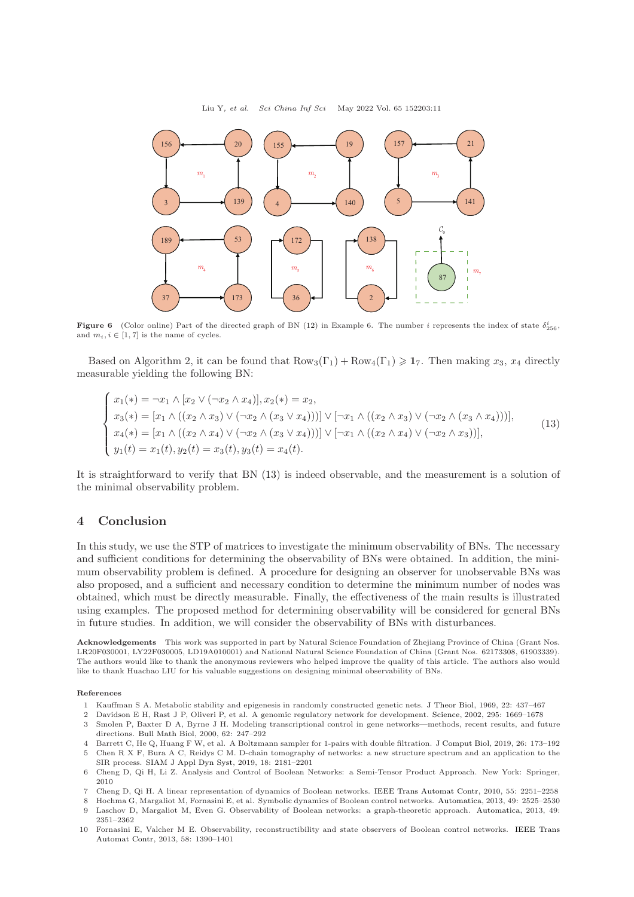<span id="page-10-11"></span>

**Figure 6** (Color online) Part of the directed graph of BN [\(12\)](#page-9-0) in Example 6. The number i represents the index of state  $\delta^i_{256}$ and  $m_i, i \in [1, 7]$  is the name of cycles.

Based on Algorithm 2, it can be found that  $Row_3(\Gamma_1) + Row_4(\Gamma_1) \geq 17$ . Then making  $x_3, x_4$  directly measurable yielding the following BN:

<span id="page-10-12"></span>
$$
\begin{cases}\nx_1(*) = \neg x_1 \land [x_2 \lor (\neg x_2 \land x_4)], x_2(*) = x_2, \\
x_3(*) = [x_1 \land ((x_2 \land x_3) \lor (\neg x_2 \land (x_3 \lor x_4)))] \lor [\neg x_1 \land ((x_2 \land x_3) \lor (\neg x_2 \land (x_3 \land x_4)))], \\
x_4(*) = [x_1 \land ((x_2 \land x_4) \lor (\neg x_2 \land (x_3 \lor x_4)))] \lor [\neg x_1 \land ((x_2 \land x_4) \lor (\neg x_2 \land x_3))], \\
y_1(t) = x_1(t), y_2(t) = x_3(t), y_3(t) = x_4(t).\n\end{cases} (13)
$$

It is straightforward to verify that BN [\(13\)](#page-10-12) is indeed observable, and the measurement is a solution of the minimal observability problem.

## <span id="page-10-9"></span>4 Conclusion

In this study, we use the STP of matrices to investigate the minimum observability of BNs. The necessary and sufficient conditions for determining the observability of BNs were obtained. In addition, the minimum observability problem is defined. A procedure for designing an observer for unobservable BNs was also proposed, and a sufficient and necessary condition to determine the minimum number of nodes was obtained, which must be directly measurable. Finally, the effectiveness of the main results is illustrated using examples. The proposed method for determining observability will be considered for general BNs in future studies. In addition, we will consider the observability of BNs with disturbances.

Acknowledgements This work was supported in part by Natural Science Foundation of Zhejiang Province of China (Grant Nos. LR20F030001, LY22F030005, LD19A010001) and National Natural Science Foundation of China (Grant Nos. 62173308, 61903339). The authors would like to thank the anonymous reviewers who helped improve the quality of this article. The authors also would like to thank Huachao LIU for his valuable suggestions on designing minimal observability of BNs.

#### <span id="page-10-0"></span>References

- <span id="page-10-1"></span>1 Kauffman S A. Metabolic stability and epigenesis in randomly constructed genetic nets. [J Theor Biol,](https://doi.org/10.1016/0022-5193(69)90015-0) 1969, 22: 437–467<br>2 Davidson E H, Bast J P, Oliveri P, et al. A genomic regulatory network for development. Science, 20
- <span id="page-10-2"></span>2 Davidson E H, Rast J P, Oliveri P, et al. A genomic regulatory network for development. [Science,](https://doi.org/10.1126/science.1069883) 2002, 295: 1669–1678
- 3 Smolen P, Baxter D A, Byrne J H. Modeling transcriptional control in gene networks—methods, recent results, and future directions. [Bull Math Biol,](https://doi.org/10.1006/bulm.1999.0155) 2000, 62: 247–292
- <span id="page-10-4"></span><span id="page-10-3"></span>4 Barrett C, He Q, Huang F W, et al. A Boltzmann sampler for 1-pairs with double filtration. [J Comput Biol,](https://doi.org/10.1089/cmb.2018.0095) 2019, 26: 173–192 5 Chen R X F, Bura A C, Reidys C M. D-chain tomography of networks: a new structure spectrum and an application to the SIR process. [SIAM J Appl Dyn Syst,](https://doi.org/10.1137/19M1243890) 2019, 18: 2181–2201
- <span id="page-10-5"></span>6 Cheng D, Qi H, Li Z. Analysis and Control of Boolean Networks: a Semi-Tensor Product Approach. New York: Springer, 2010
- <span id="page-10-7"></span><span id="page-10-6"></span>7 Cheng D, Qi H. A linear representation of dynamics of Boolean networks. [IEEE Trans Automat Contr,](https://doi.org/10.1109/TAC.2010.2043294) 2010, 55: 2251–2258
- <span id="page-10-8"></span>8 Hochma G, Margaliot M, Fornasini E, et al. Symbolic dynamics of Boolean control networks. [Automatica,](https://doi.org/10.1016/j.automatica.2013.05.004) 2013, 49: 2525–2530

<span id="page-10-10"></span>10 Fornasini E, V[alcher M E. Observability, reconstructibility and state observers of Boolean control networks.](https://doi.org/10.1109/TAC.2012.2231592) IEEE Trans Automat Contr, 2013, 58: 1390–1401

<sup>9</sup> Laschov D, Margaliot M, Even G. Observability of Boolean networks: a graph-theoretic approach. [Automatica,](https://doi.org/10.1016/j.automatica.2013.04.038) 2013, 49: 2351–2362